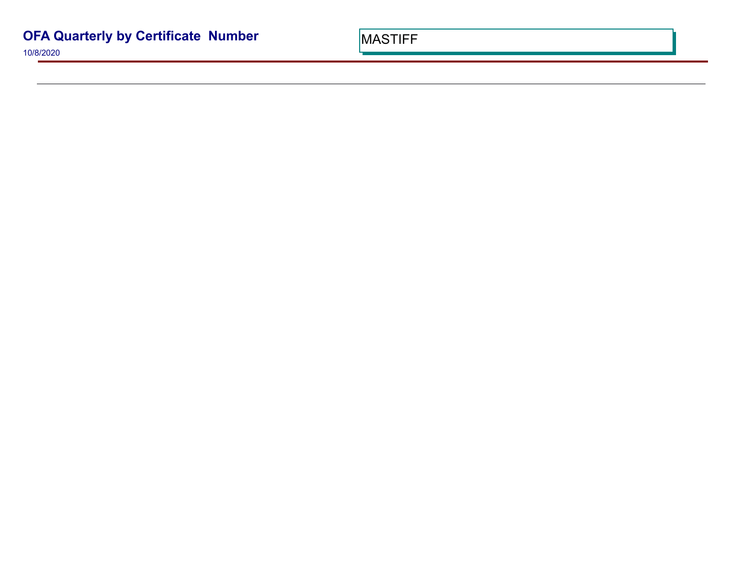10/8/2020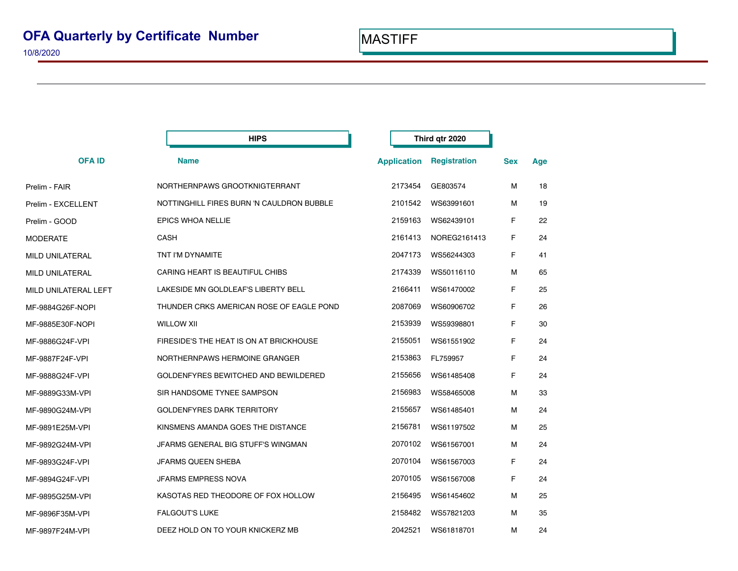| <b>HIPS</b>          |                                           |                    | Third qtr 2020 |            |     |
|----------------------|-------------------------------------------|--------------------|----------------|------------|-----|
| <b>OFAID</b>         | <b>Name</b>                               | <b>Application</b> | Registration   | <b>Sex</b> | Age |
| Prelim - FAIR        | NORTHERNPAWS GROOTKNIGTERRANT             | 2173454            | GE803574       | M          | 18  |
| Prelim - EXCELLENT   | NOTTINGHILL FIRES BURN 'N CAULDRON BUBBLE | 2101542            | WS63991601     | M          | 19  |
| Prelim - GOOD        | <b>EPICS WHOA NELLIE</b>                  | 2159163            | WS62439101     | F          | 22  |
| MODERATE             | <b>CASH</b>                               | 2161413            | NOREG2161413   | F          | 24  |
| MILD UNILATERAL      | TNT I'M DYNAMITE                          | 2047173            | WS56244303     | F          | 41  |
| MILD UNILATERAL      | CARING HEART IS BEAUTIFUL CHIBS           | 2174339            | WS50116110     | м          | 65  |
| MILD UNILATERAL LEFT | LAKESIDE MN GOLDLEAF'S LIBERTY BELL       | 2166411            | WS61470002     | F          | 25  |
| MF-9884G26F-NOPI     | THUNDER CRKS AMERICAN ROSE OF EAGLE POND  | 2087069            | WS60906702     | F          | 26  |
| MF-9885E30F-NOPI     | <b>WILLOW XII</b>                         | 2153939            | WS59398801     | F          | 30  |
| MF-9886G24F-VPI      | FIRESIDE'S THE HEAT IS ON AT BRICKHOUSE   | 2155051            | WS61551902     | F          | 24  |
| MF-9887F24F-VPI      | NORTHERNPAWS HERMOINE GRANGER             | 2153863            | FL759957       | F          | 24  |
| MF-9888G24F-VPI      | GOLDENFYRES BEWITCHED AND BEWILDERED      | 2155656            | WS61485408     | F          | 24  |
| MF-9889G33M-VPI      | SIR HANDSOME TYNEE SAMPSON                | 2156983            | WS58465008     | М          | 33  |
| MF-9890G24M-VPI      | <b>GOLDENFYRES DARK TERRITORY</b>         | 2155657            | WS61485401     | M          | 24  |
| MF-9891E25M-VPI      | KINSMENS AMANDA GOES THE DISTANCE         | 2156781            | WS61197502     | M          | 25  |
| MF-9892G24M-VPI      | JFARMS GENERAL BIG STUFF'S WINGMAN        | 2070102            | WS61567001     | м          | 24  |
| MF-9893G24F-VPI      | JFARMS QUEEN SHEBA                        | 2070104            | WS61567003     | F          | 24  |
| MF-9894G24F-VPI      | JFARMS EMPRESS NOVA                       | 2070105            | WS61567008     | F          | 24  |
| MF-9895G25M-VPI      | KASOTAS RED THEODORE OF FOX HOLLOW        | 2156495            | WS61454602     | М          | 25  |
| MF-9896F35M-VPI      | <b>FALGOUT'S LUKE</b>                     | 2158482            | WS57821203     | М          | 35  |
| MF-9897F24M-VPI      | DEEZ HOLD ON TO YOUR KNICKERZ MB          | 2042521            | WS61818701     | M          | 24  |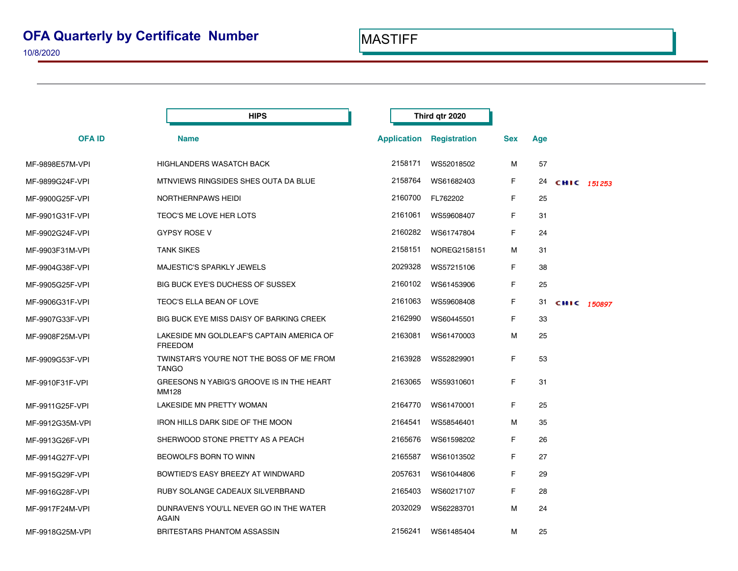|                 | <b>HIPS</b>                                                 |         | Third qtr 2020                  |            |     |                |  |
|-----------------|-------------------------------------------------------------|---------|---------------------------------|------------|-----|----------------|--|
| <b>OFAID</b>    | <b>Name</b>                                                 |         | <b>Application Registration</b> | <b>Sex</b> | Age |                |  |
| MF-9898E57M-VPI | <b>HIGHLANDERS WASATCH BACK</b>                             | 2158171 | WS52018502                      | М          | 57  |                |  |
| MF-9899G24F-VPI | MTNVIEWS RINGSIDES SHES OUTA DA BLUE                        | 2158764 | WS61682403                      | F          |     | 24 CHIC 151253 |  |
| MF-9900G25F-VPI | NORTHERNPAWS HEIDI                                          | 2160700 | FL762202                        | F          | 25  |                |  |
| MF-9901G31F-VPI | TEOC'S ME LOVE HER LOTS                                     | 2161061 | WS59608407                      | F.         | 31  |                |  |
| MF-9902G24F-VPI | <b>GYPSY ROSE V</b>                                         | 2160282 | WS61747804                      | F          | 24  |                |  |
| MF-9903F31M-VPI | <b>TANK SIKES</b>                                           | 2158151 | NOREG2158151                    | М          | 31  |                |  |
| MF-9904G38F-VPI | MAJESTIC'S SPARKLY JEWELS                                   | 2029328 | WS57215106                      | F          | 38  |                |  |
| MF-9905G25F-VPI | <b>BIG BUCK EYE'S DUCHESS OF SUSSEX</b>                     | 2160102 | WS61453906                      | F.         | 25  |                |  |
| MF-9906G31F-VPI | TEOC'S ELLA BEAN OF LOVE                                    | 2161063 | WS59608408                      | F          | 31  | CHIC 150897    |  |
| MF-9907G33F-VPI | BIG BUCK EYE MISS DAISY OF BARKING CREEK                    | 2162990 | WS60445501                      | F          | 33  |                |  |
| MF-9908F25M-VPI | LAKESIDE MN GOLDLEAF'S CAPTAIN AMERICA OF<br><b>FREEDOM</b> | 2163081 | WS61470003                      | М          | 25  |                |  |
| MF-9909G53F-VPI | TWINSTAR'S YOU'RE NOT THE BOSS OF ME FROM<br><b>TANGO</b>   | 2163928 | WS52829901                      | F          | 53  |                |  |
| MF-9910F31F-VPI | GREESONS N YABIG'S GROOVE IS IN THE HEART<br><b>MM128</b>   | 2163065 | WS59310601                      | F          | 31  |                |  |
| MF-9911G25F-VPI | LAKESIDE MN PRETTY WOMAN                                    | 2164770 | WS61470001                      | F          | 25  |                |  |
| MF-9912G35M-VPI | IRON HILLS DARK SIDE OF THE MOON                            | 2164541 | WS58546401                      | м          | 35  |                |  |
| MF-9913G26F-VPI | SHERWOOD STONE PRETTY AS A PEACH                            | 2165676 | WS61598202                      | F          | 26  |                |  |
| MF-9914G27F-VPI | BEOWOLFS BORN TO WINN                                       | 2165587 | WS61013502                      | F          | 27  |                |  |
| MF-9915G29F-VPI | BOWTIED'S EASY BREEZY AT WINDWARD                           | 2057631 | WS61044806                      | F          | 29  |                |  |
| MF-9916G28F-VPI | RUBY SOLANGE CADEAUX SILVERBRAND                            | 2165403 | WS60217107                      | F          | 28  |                |  |
| MF-9917F24M-VPI | DUNRAVEN'S YOU'LL NEVER GO IN THE WATER<br><b>AGAIN</b>     | 2032029 | WS62283701                      | М          | 24  |                |  |
| MF-9918G25M-VPI | BRITESTARS PHANTOM ASSASSIN                                 | 2156241 | WS61485404                      | М          | 25  |                |  |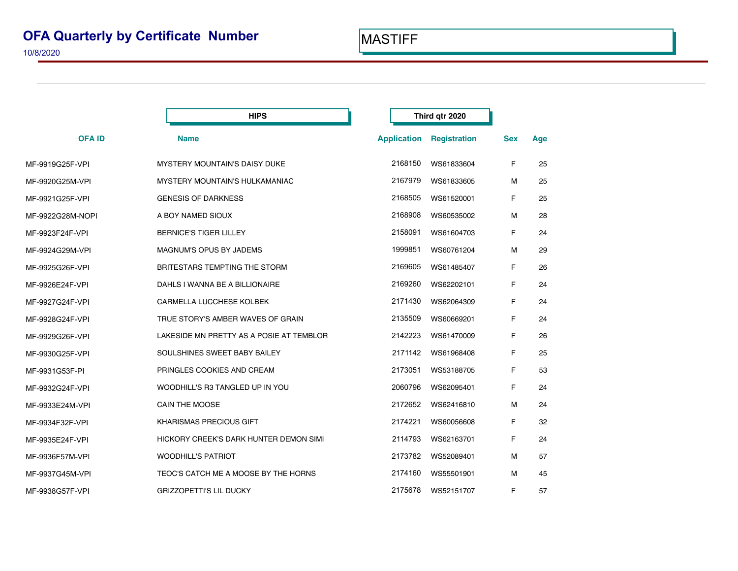|                  | <b>HIPS</b>                              | Third qtr 2020     |                     |            |     |
|------------------|------------------------------------------|--------------------|---------------------|------------|-----|
| <b>OFAID</b>     | <b>Name</b>                              | <b>Application</b> | <b>Registration</b> | <b>Sex</b> | Age |
| MF-9919G25F-VPI  | <b>MYSTERY MOUNTAIN'S DAISY DUKE</b>     | 2168150            | WS61833604          | F.         | 25  |
| MF-9920G25M-VPI  | MYSTERY MOUNTAIN'S HULKAMANIAC           | 2167979            | WS61833605          | м          | 25  |
| MF-9921G25F-VPI  | <b>GENESIS OF DARKNESS</b>               | 2168505            | WS61520001          | F.         | 25  |
| MF-9922G28M-NOPI | A BOY NAMED SIOUX                        | 2168908            | WS60535002          | м          | 28  |
| MF-9923F24F-VPI  | <b>BERNICE'S TIGER LILLEY</b>            | 2158091            | WS61604703          | F.         | 24  |
| MF-9924G29M-VPI  | MAGNUM'S OPUS BY JADEMS                  | 1999851            | WS60761204          | м          | 29  |
| MF-9925G26F-VPI  | BRITESTARS TEMPTING THE STORM            | 2169605            | WS61485407          | F          | 26  |
| MF-9926E24F-VPI  | DAHLS I WANNA BE A BILLIONAIRE           | 2169260            | WS62202101          | F.         | 24  |
| MF-9927G24F-VPI  | CARMELLA LUCCHESE KOLBEK                 | 2171430            | WS62064309          | F.         | 24  |
| MF-9928G24F-VPI  | TRUE STORY'S AMBER WAVES OF GRAIN        | 2135509            | WS60669201          | F          | 24  |
| MF-9929G26F-VPI  | LAKESIDE MN PRETTY AS A POSIE AT TEMBLOR | 2142223            | WS61470009          | F.         | 26  |
| MF-9930G25F-VPI  | SOULSHINES SWEET BABY BAILEY             | 2171142            | WS61968408          | F.         | 25  |
| MF-9931G53F-PI   | PRINGLES COOKIES AND CREAM               | 2173051            | WS53188705          | F          | 53  |
| MF-9932G24F-VPI  | WOODHILL'S R3 TANGLED UP IN YOU          | 2060796            | WS62095401          | F.         | 24  |
| MF-9933E24M-VPI  | CAIN THE MOOSE                           | 2172652            | WS62416810          | м          | 24  |
| MF-9934F32F-VPI  | KHARISMAS PRECIOUS GIFT                  | 2174221            | WS60056608          | F          | 32  |
| MF-9935E24F-VPI  | HICKORY CREEK'S DARK HUNTER DEMON SIMI   | 2114793            | WS62163701          | F.         | 24  |
| MF-9936F57M-VPI  | <b>WOODHILL'S PATRIOT</b>                | 2173782            | WS52089401          | м          | 57  |
| MF-9937G45M-VPI  | TEOC'S CATCH ME A MOOSE BY THE HORNS     | 2174160            | WS55501901          | м          | 45  |
| MF-9938G57F-VPI  | <b>GRIZZOPETTI'S LIL DUCKY</b>           | 2175678            | WS52151707          | F.         | 57  |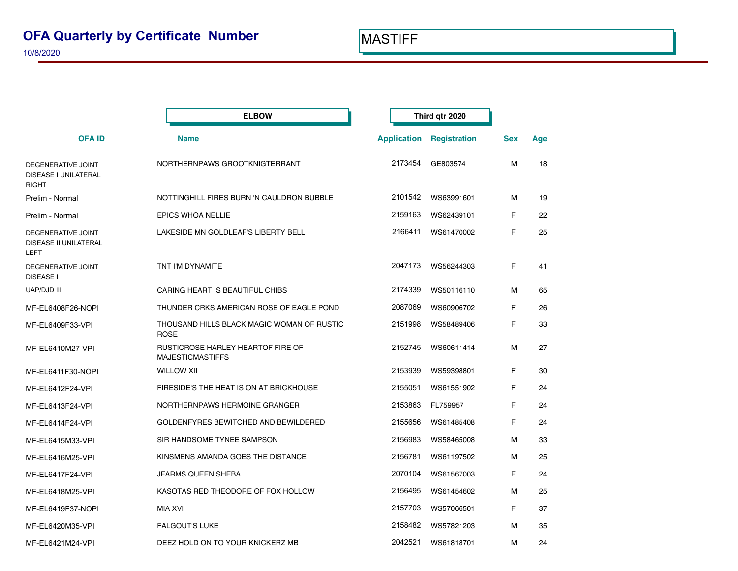### 10/8/2020

|                                                            | <b>ELBOW</b>                                                 | Third qtr 2020     |                     |            |     |
|------------------------------------------------------------|--------------------------------------------------------------|--------------------|---------------------|------------|-----|
| <b>OFAID</b>                                               | <b>Name</b>                                                  | <b>Application</b> | <b>Registration</b> | <b>Sex</b> | Age |
| DEGENERATIVE JOINT<br>DISEASE I UNILATERAL<br><b>RIGHT</b> | NORTHERNPAWS GROOTKNIGTERRANT                                | 2173454            | GE803574            | м          | 18  |
| Prelim - Normal                                            | NOTTINGHILL FIRES BURN 'N CAULDRON BUBBLE                    | 2101542            | WS63991601          | м          | 19  |
| Prelim - Normal                                            | EPICS WHOA NELLIE                                            | 2159163            | WS62439101          | F          | 22  |
| DEGENERATIVE JOINT<br>DISEASE II UNILATERAL<br>LEFT        | LAKESIDE MN GOLDLEAF'S LIBERTY BELL                          | 2166411            | WS61470002          | F          | 25  |
| DEGENERATIVE JOINT<br><b>DISEASE I</b>                     | TNT I'M DYNAMITE                                             | 2047173            | WS56244303          | F          | 41  |
| <b>UAP/DJD III</b>                                         | CARING HEART IS BEAUTIFUL CHIBS                              | 2174339            | WS50116110          | м          | 65  |
| MF-EL6408F26-NOPI                                          | THUNDER CRKS AMERICAN ROSE OF EAGLE POND                     | 2087069            | WS60906702          | F          | 26  |
| MF-EL6409F33-VPI                                           | THOUSAND HILLS BLACK MAGIC WOMAN OF RUSTIC<br><b>ROSE</b>    | 2151998            | WS58489406          | F          | 33  |
| MF-EL6410M27-VPI                                           | RUSTICROSE HARLEY HEARTOF FIRE OF<br><b>MAJESTICMASTIFFS</b> | 2152745            | WS60611414          | м          | 27  |
| MF-EL6411F30-NOPI                                          | <b>WILLOW XII</b>                                            | 2153939            | WS59398801          | F          | 30  |
| MF-EL6412F24-VPI                                           | FIRESIDE'S THE HEAT IS ON AT BRICKHOUSE                      | 2155051            | WS61551902          | F          | 24  |
| MF-EL6413F24-VPI                                           | NORTHERNPAWS HERMOINE GRANGER                                | 2153863            | FL759957            | F          | 24  |
| MF-EL6414F24-VPI                                           | GOLDENFYRES BEWITCHED AND BEWILDERED                         | 2155656            | WS61485408          | F          | 24  |
| MF-EL6415M33-VPI                                           | SIR HANDSOME TYNEE SAMPSON                                   | 2156983            | WS58465008          | м          | 33  |
| MF-EL6416M25-VPI                                           | KINSMENS AMANDA GOES THE DISTANCE                            | 2156781            | WS61197502          | м          | 25  |
| MF-EL6417F24-VPI                                           | <b>JFARMS QUEEN SHEBA</b>                                    | 2070104            | WS61567003          | F          | 24  |
| MF-EL6418M25-VPI                                           | KASOTAS RED THEODORE OF FOX HOLLOW                           | 2156495            | WS61454602          | м          | 25  |
| MF-EL6419F37-NOPI                                          | MIA XVI                                                      | 2157703            | WS57066501          | F          | 37  |
| MF-EL6420M35-VPI                                           | <b>FALGOUT'S LUKE</b>                                        | 2158482            | WS57821203          | м          | 35  |
| MF-EL6421M24-VPI                                           | DEEZ HOLD ON TO YOUR KNICKERZ MB                             | 2042521            | WS61818701          | м          | 24  |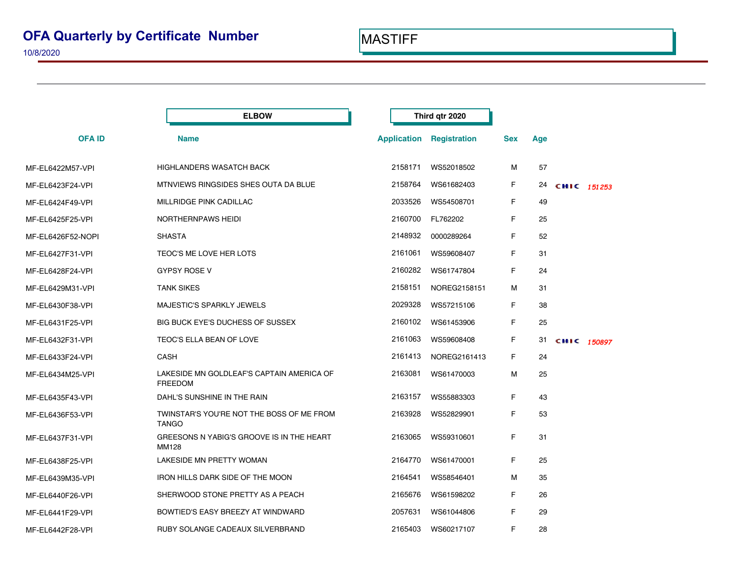|                   | <b>ELBOW</b>                                                | Third qtr 2020     |              |            |     |             |  |
|-------------------|-------------------------------------------------------------|--------------------|--------------|------------|-----|-------------|--|
| <b>OFA ID</b>     | <b>Name</b>                                                 | <b>Application</b> | Registration | <b>Sex</b> | Age |             |  |
| MF-EL6422M57-VPI  | <b>HIGHLANDERS WASATCH BACK</b>                             | 2158171            | WS52018502   | м          | 57  |             |  |
| MF-EL6423F24-VPI  | MTNVIEWS RINGSIDES SHES OUTA DA BLUE                        | 2158764            | WS61682403   | F.         | 24  | CHIC 151253 |  |
| MF-EL6424F49-VPI  | MILLRIDGE PINK CADILLAC                                     | 2033526            | WS54508701   | F.         | 49  |             |  |
| MF-EL6425F25-VPI  | NORTHERNPAWS HEIDI                                          | 2160700            | FL762202     | F.         | 25  |             |  |
| MF-EL6426F52-NOPI | <b>SHASTA</b>                                               | 2148932            | 0000289264   | F.         | 52  |             |  |
| MF-EL6427F31-VPI  | TEOC'S ME LOVE HER LOTS                                     | 2161061            | WS59608407   | F.         | 31  |             |  |
| MF-EL6428F24-VPI  | <b>GYPSY ROSE V</b>                                         | 2160282            | WS61747804   | F.         | 24  |             |  |
| MF-EL6429M31-VPI  | <b>TANK SIKES</b>                                           | 2158151            | NOREG2158151 | м          | 31  |             |  |
| MF-EL6430F38-VPI  | MAJESTIC'S SPARKLY JEWELS                                   | 2029328            | WS57215106   | F.         | 38  |             |  |
| MF-EL6431F25-VPI  | BIG BUCK EYE'S DUCHESS OF SUSSEX                            | 2160102            | WS61453906   | F.         | 25  |             |  |
| MF-EL6432F31-VPI  | TEOC'S ELLA BEAN OF LOVE                                    | 2161063            | WS59608408   | F.         | 31  | CHIC 150897 |  |
| MF-EL6433F24-VPI  | <b>CASH</b>                                                 | 2161413            | NOREG2161413 | F.         | 24  |             |  |
| MF-EL6434M25-VPI  | LAKESIDE MN GOLDLEAF'S CAPTAIN AMERICA OF<br><b>FREEDOM</b> | 2163081            | WS61470003   | м          | 25  |             |  |
| MF-EL6435F43-VPI  | DAHL'S SUNSHINE IN THE RAIN                                 | 2163157            | WS55883303   | F.         | 43  |             |  |
| MF-EL6436F53-VPI  | TWINSTAR'S YOU'RE NOT THE BOSS OF ME FROM<br><b>TANGO</b>   | 2163928            | WS52829901   | F.         | 53  |             |  |
| MF-EL6437F31-VPI  | GREESONS N YABIG'S GROOVE IS IN THE HEART<br>MM128          | 2163065            | WS59310601   | F.         | 31  |             |  |
| MF-EL6438F25-VPI  | LAKESIDE MN PRETTY WOMAN                                    | 2164770            | WS61470001   | F.         | 25  |             |  |
| MF-EL6439M35-VPI  | IRON HILLS DARK SIDE OF THE MOON                            | 2164541            | WS58546401   | м          | 35  |             |  |
| MF-EL6440F26-VPI  | SHERWOOD STONE PRETTY AS A PEACH                            | 2165676            | WS61598202   | F.         | 26  |             |  |
| MF-EL6441F29-VPI  | BOWTIED'S EASY BREEZY AT WINDWARD                           | 2057631            | WS61044806   | F.         | 29  |             |  |
| MF-EL6442F28-VPI  | RUBY SOLANGE CADEAUX SILVERBRAND                            | 2165403            | WS60217107   | F.         | 28  |             |  |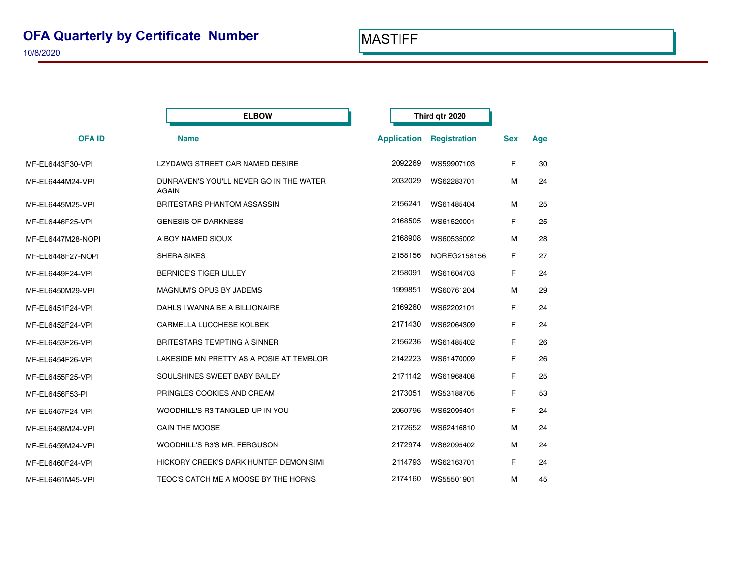|                   | <b>ELBOW</b>                                            |                    | Third qtr 2020 |                     |            |     |
|-------------------|---------------------------------------------------------|--------------------|----------------|---------------------|------------|-----|
| <b>OFAID</b>      | <b>Name</b>                                             | <b>Application</b> |                | <b>Registration</b> | <b>Sex</b> | Age |
| MF-EL6443F30-VPI  | LZYDAWG STREET CAR NAMED DESIRE                         | 2092269            |                | WS59907103          | F.         | 30  |
| MF-EL6444M24-VPI  | DUNRAVEN'S YOU'LL NEVER GO IN THE WATER<br><b>AGAIN</b> | 2032029            |                | WS62283701          | м          | 24  |
| MF-EL6445M25-VPI  | <b>BRITESTARS PHANTOM ASSASSIN</b>                      | 2156241            |                | WS61485404          | м          | 25  |
| MF-EL6446F25-VPI  | <b>GENESIS OF DARKNESS</b>                              | 2168505            |                | WS61520001          | F.         | 25  |
| MF-EL6447M28-NOPI | A BOY NAMED SIOUX                                       | 2168908            |                | WS60535002          | M          | 28  |
| MF-EL6448F27-NOPI | <b>SHERA SIKES</b>                                      | 2158156            |                | NOREG2158156        | F.         | 27  |
| MF-EL6449F24-VPI  | <b>BERNICE'S TIGER LILLEY</b>                           | 2158091            |                | WS61604703          | F          | 24  |
| MF-EL6450M29-VPI  | MAGNUM'S OPUS BY JADEMS                                 | 1999851            |                | WS60761204          | M          | 29  |
| MF-EL6451F24-VPI  | DAHLS I WANNA BE A BILLIONAIRE                          | 2169260            |                | WS62202101          | F.         | 24  |
| MF-EL6452F24-VPI  | CARMELLA LUCCHESE KOLBEK                                | 2171430            |                | WS62064309          | F.         | 24  |
| MF-EL6453F26-VPI  | <b>BRITESTARS TEMPTING A SINNER</b>                     | 2156236            |                | WS61485402          | F.         | 26  |
| MF-EL6454F26-VPI  | LAKESIDE MN PRETTY AS A POSIE AT TEMBLOR                | 2142223            |                | WS61470009          | F.         | 26  |
| MF-EL6455F25-VPI  | SOULSHINES SWEET BABY BAILEY                            | 2171142            |                | WS61968408          | F.         | 25  |
| MF-EL6456F53-PI   | PRINGLES COOKIES AND CREAM                              | 2173051            |                | WS53188705          | F.         | 53  |
| MF-EL6457F24-VPI  | WOODHILL'S R3 TANGLED UP IN YOU                         | 2060796            |                | WS62095401          | F.         | 24  |
| MF-EL6458M24-VPI  | <b>CAIN THE MOOSE</b>                                   | 2172652            |                | WS62416810          | м          | 24  |
| MF-EL6459M24-VPI  | WOODHILL'S R3'S MR. FERGUSON                            | 2172974            |                | WS62095402          | м          | 24  |
| MF-EL6460F24-VPI  | HICKORY CREEK'S DARK HUNTER DEMON SIMI                  | 2114793            |                | WS62163701          | F.         | 24  |
| MF-EL6461M45-VPI  | TEOC'S CATCH ME A MOOSE BY THE HORNS                    | 2174160            |                | WS55501901          | М          | 45  |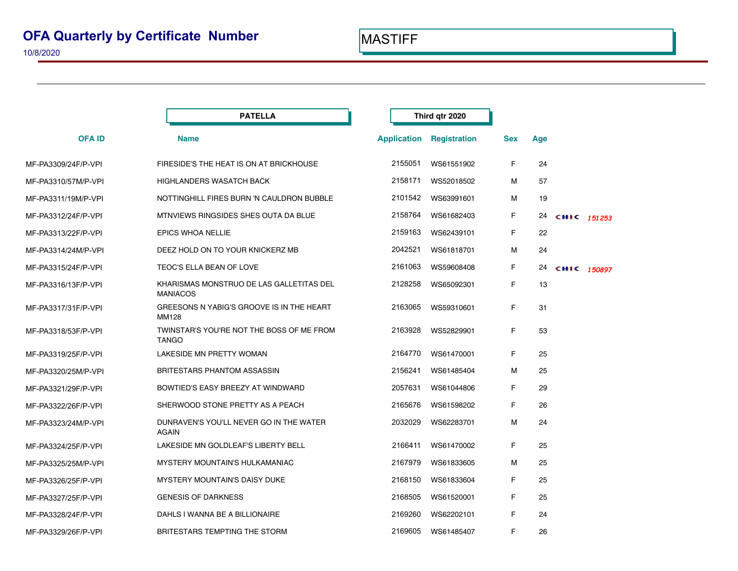|                     | <b>PATELLA</b>                                              |                    | Third gtr 2020      |     |     |             |             |
|---------------------|-------------------------------------------------------------|--------------------|---------------------|-----|-----|-------------|-------------|
| <b>OFAID</b>        | <b>Name</b>                                                 | <b>Application</b> | <b>Registration</b> | Sex | Age |             |             |
| MF-PA3309/24F/P-VPI | FIRESIDE'S THE HEAT IS ON AT BRICKHOUSE                     | 2155051            | WS61551902          | F   | 24  |             |             |
| MF-PA3310/57M/P-VPI | <b>HIGHLANDERS WASATCH BACK</b>                             | 2158171            | WS52018502          | м   | 57  |             |             |
| MF-PA3311/19M/P-VPI | NOTTINGHILL FIRES BURN 'N CAULDRON BUBBLE                   | 2101542            | WS63991601          | м   | 19  |             |             |
| MF-PA3312/24F/P-VPI | MTNVIEWS RINGSIDES SHES OUTA DA BLUE                        | 2158764            | WS61682403          | F.  | 24  | CHIC 151253 |             |
| MF-PA3313/22F/P-VPI | <b>EPICS WHOA NELLIE</b>                                    | 2159163            | WS62439101          | F   | 22  |             |             |
| MF-PA3314/24M/P-VPI | DEEZ HOLD ON TO YOUR KNICKERZ MB                            | 2042521            | WS61818701          | М   | 24  |             |             |
| MF-PA3315/24F/P-VPI | TEOC'S ELLA BEAN OF LOVE                                    | 2161063            | WS59608408          | F.  | 24  |             | CHIC 150897 |
| MF-PA3316/13F/P-VPI | KHARISMAS MONSTRUO DE LAS GALLETITAS DEL<br><b>MANIACOS</b> | 2128258            | WS65092301          | F   | 13  |             |             |
| MF-PA3317/31F/P-VPI | GREESONS N YABIG'S GROOVE IS IN THE HEART<br>MM128          | 2163065            | WS59310601          | F   | 31  |             |             |
| MF-PA3318/53F/P-VPI | TWINSTAR'S YOU'RE NOT THE BOSS OF ME FROM<br><b>TANGO</b>   | 2163928            | WS52829901          | F   | 53  |             |             |
| MF-PA3319/25F/P-VPI | LAKESIDE MN PRETTY WOMAN                                    | 2164770            | WS61470001          | F   | 25  |             |             |
| MF-PA3320/25M/P-VPI | BRITESTARS PHANTOM ASSASSIN                                 | 2156241            | WS61485404          | М   | 25  |             |             |
| MF-PA3321/29F/P-VPI | BOWTIED'S EASY BREEZY AT WINDWARD                           | 2057631            | WS61044806          | F   | 29  |             |             |
| MF-PA3322/26F/P-VPI | SHERWOOD STONE PRETTY AS A PEACH                            | 2165676            | WS61598202          | F   | 26  |             |             |
| MF-PA3323/24M/P-VPI | DUNRAVEN'S YOU'LL NEVER GO IN THE WATER<br><b>AGAIN</b>     | 2032029            | WS62283701          | М   | 24  |             |             |
| MF-PA3324/25F/P-VPI | LAKESIDE MN GOLDLEAF'S LIBERTY BELL                         | 2166411            | WS61470002          | F   | 25  |             |             |
| MF-PA3325/25M/P-VPI | <b>MYSTERY MOUNTAIN'S HULKAMANIAC</b>                       | 2167979            | WS61833605          | М   | 25  |             |             |
| MF-PA3326/25F/P-VPI | <b>MYSTERY MOUNTAIN'S DAISY DUKE</b>                        | 2168150            | WS61833604          | F   | 25  |             |             |
| MF-PA3327/25F/P-VPI | <b>GENESIS OF DARKNESS</b>                                  | 2168505            | WS61520001          | F   | 25  |             |             |
| MF-PA3328/24F/P-VPI | DAHLS I WANNA BE A BILLIONAIRE                              | 2169260            | WS62202101          | F   | 24  |             |             |
| MF-PA3329/26F/P-VPI | BRITESTARS TEMPTING THE STORM                               | 2169605            | WS61485407          | F   | 26  |             |             |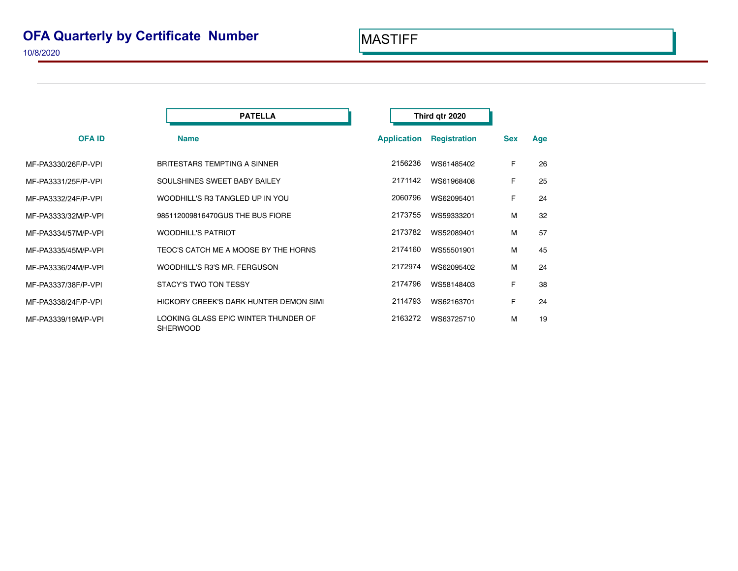|                     | <b>PATELLA</b>                                          | Third qtr 2020     |                     |            |     |
|---------------------|---------------------------------------------------------|--------------------|---------------------|------------|-----|
| <b>OFA ID</b>       | <b>Name</b>                                             | <b>Application</b> | <b>Registration</b> | <b>Sex</b> | Age |
| MF-PA3330/26F/P-VPI | <b>BRITESTARS TEMPTING A SINNER</b>                     | 2156236            | WS61485402          | F          | 26  |
| MF-PA3331/25F/P-VPI | SOULSHINES SWEET BABY BAILEY                            | 2171142            | WS61968408          | F          | 25  |
| MF-PA3332/24F/P-VPI | WOODHILL'S R3 TANGLED UP IN YOU                         | 2060796            | WS62095401          | F          | 24  |
| MF-PA3333/32M/P-VPI | 985112009816470GUS THE BUS FIORE                        | 2173755            | WS59333201          | М          | 32  |
| MF-PA3334/57M/P-VPI | <b>WOODHILL'S PATRIOT</b>                               | 2173782            | WS52089401          | М          | 57  |
| MF-PA3335/45M/P-VPI | TEOC'S CATCH ME A MOOSE BY THE HORNS                    | 2174160            | WS55501901          | М          | 45  |
| MF-PA3336/24M/P-VPI | WOODHILL'S R3'S MR. FERGUSON                            | 2172974            | WS62095402          | М          | 24  |
| MF-PA3337/38F/P-VPI | STACY'S TWO TON TESSY                                   | 2174796            | WS58148403          | F          | 38  |
| MF-PA3338/24F/P-VPI | HICKORY CREEK'S DARK HUNTER DEMON SIMI                  | 2114793            | WS62163701          | F          | 24  |
| MF-PA3339/19M/P-VPI | LOOKING GLASS EPIC WINTER THUNDER OF<br><b>SHERWOOD</b> | 2163272            | WS63725710          | м          | 19  |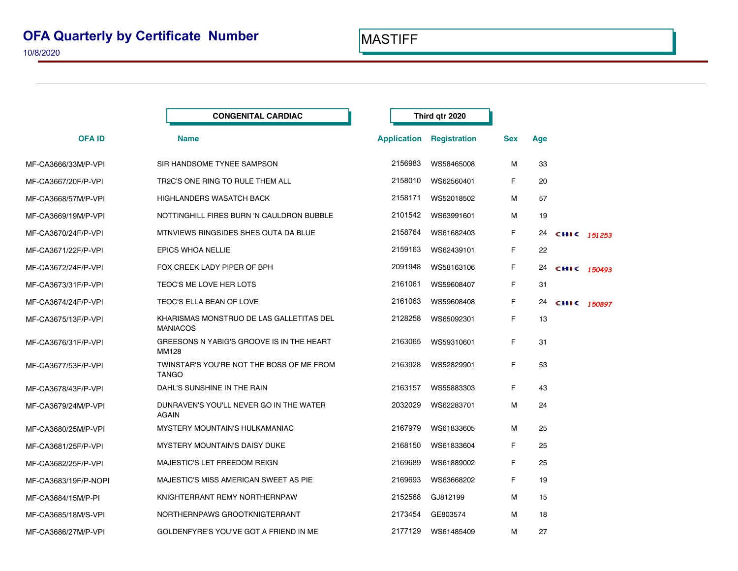|                      | <b>CONGENITAL CARDIAC</b>                                   |         | Third qtr 2020                  |            |     |             |  |
|----------------------|-------------------------------------------------------------|---------|---------------------------------|------------|-----|-------------|--|
| <b>OFAID</b>         | <b>Name</b>                                                 |         | <b>Application Registration</b> | <b>Sex</b> | Age |             |  |
| MF-CA3666/33M/P-VPI  | SIR HANDSOME TYNEE SAMPSON                                  | 2156983 | WS58465008                      | м          | 33  |             |  |
| MF-CA3667/20F/P-VPI  | TR2C'S ONE RING TO RULE THEM ALL                            | 2158010 | WS62560401                      | F.         | 20  |             |  |
| MF-CA3668/57M/P-VPI  | <b>HIGHLANDERS WASATCH BACK</b>                             | 2158171 | WS52018502                      | М          | 57  |             |  |
| MF-CA3669/19M/P-VPI  | NOTTINGHILL FIRES BURN 'N CAULDRON BUBBLE                   | 2101542 | WS63991601                      | м          | 19  |             |  |
| MF-CA3670/24F/P-VPI  | MTNVIEWS RINGSIDES SHES OUTA DA BLUE                        | 2158764 | WS61682403                      | F          | 24  | CHIC 151253 |  |
| MF-CA3671/22F/P-VPI  | EPICS WHOA NELLIE                                           | 2159163 | WS62439101                      | F.         | 22  |             |  |
| MF-CA3672/24F/P-VPI  | FOX CREEK LADY PIPER OF BPH                                 | 2091948 | WS58163106                      | F          | 24  | CHIC 150493 |  |
| MF-CA3673/31F/P-VPI  | TEOC'S ME LOVE HER LOTS                                     | 2161061 | WS59608407                      | F.         | 31  |             |  |
| MF-CA3674/24F/P-VPI  | TEOC'S ELLA BEAN OF LOVE                                    | 2161063 | WS59608408                      | F.         | 24  | CHIC 150897 |  |
| MF-CA3675/13F/P-VPI  | KHARISMAS MONSTRUO DE LAS GALLETITAS DEL<br><b>MANIACOS</b> | 2128258 | WS65092301                      | F.         | 13  |             |  |
| MF-CA3676/31F/P-VPI  | GREESONS N YABIG'S GROOVE IS IN THE HEART<br><b>MM128</b>   | 2163065 | WS59310601                      | F.         | 31  |             |  |
| MF-CA3677/53F/P-VPI  | TWINSTAR'S YOU'RE NOT THE BOSS OF ME FROM<br><b>TANGO</b>   | 2163928 | WS52829901                      | F.         | 53  |             |  |
| MF-CA3678/43F/P-VPI  | DAHL'S SUNSHINE IN THE RAIN                                 | 2163157 | WS55883303                      | F.         | 43  |             |  |
| MF-CA3679/24M/P-VPI  | DUNRAVEN'S YOU'LL NEVER GO IN THE WATER<br><b>AGAIN</b>     | 2032029 | WS62283701                      | М          | 24  |             |  |
| MF-CA3680/25M/P-VPI  | MYSTERY MOUNTAIN'S HULKAMANIAC                              | 2167979 | WS61833605                      | м          | 25  |             |  |
| MF-CA3681/25F/P-VPI  | <b>MYSTERY MOUNTAIN'S DAISY DUKE</b>                        | 2168150 | WS61833604                      | F.         | 25  |             |  |
| MF-CA3682/25F/P-VPI  | MAJESTIC'S LET FREEDOM REIGN                                | 2169689 | WS61889002                      | F          | 25  |             |  |
| MF-CA3683/19F/P-NOPI | MAJESTIC'S MISS AMERICAN SWEET AS PIE                       | 2169693 | WS63668202                      | F.         | 19  |             |  |
| MF-CA3684/15M/P-PI   | KNIGHTERRANT REMY NORTHERNPAW                               | 2152568 | GJ812199                        | м          | 15  |             |  |
| MF-CA3685/18M/S-VPI  | NORTHERNPAWS GROOTKNIGTERRANT                               | 2173454 | GE803574                        | м          | 18  |             |  |
| MF-CA3686/27M/P-VPI  | GOLDENFYRE'S YOU'VE GOT A FRIEND IN ME                      | 2177129 | WS61485409                      | м          | 27  |             |  |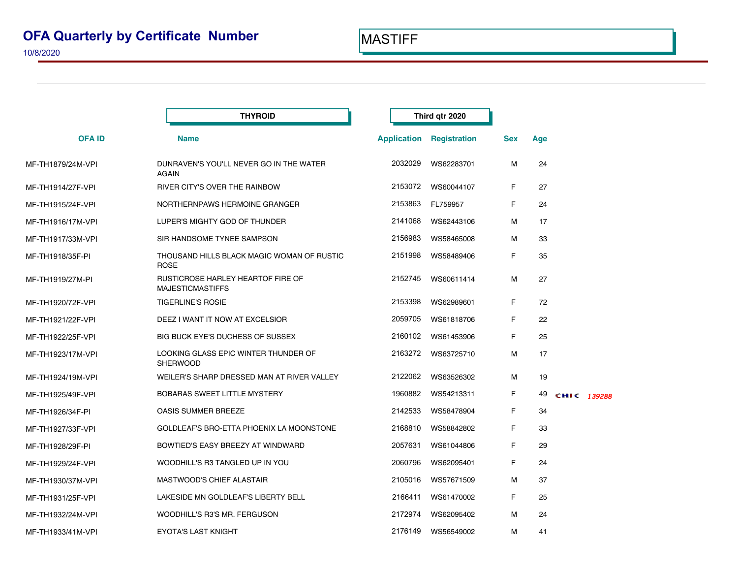|                   | <b>THYROID</b>                                                      |         | Third qtr 2020                  |            |     |             |
|-------------------|---------------------------------------------------------------------|---------|---------------------------------|------------|-----|-------------|
| <b>OFAID</b>      | <b>Name</b>                                                         |         | <b>Application Registration</b> | <b>Sex</b> | Age |             |
| MF-TH1879/24M-VPI | DUNRAVEN'S YOU'LL NEVER GO IN THE WATER<br>AGAIN                    | 2032029 | WS62283701                      | М          | 24  |             |
| MF-TH1914/27F-VPI | RIVER CITY'S OVER THE RAINBOW                                       | 2153072 | WS60044107                      | F          | 27  |             |
| MF-TH1915/24F-VPI | NORTHERNPAWS HERMOINE GRANGER                                       | 2153863 | FL759957                        | F          | 24  |             |
| MF-TH1916/17M-VPI | LUPER'S MIGHTY GOD OF THUNDER                                       | 2141068 | WS62443106                      | М          | 17  |             |
| MF-TH1917/33M-VPI | SIR HANDSOME TYNEE SAMPSON                                          | 2156983 | WS58465008                      | м          | 33  |             |
| MF-TH1918/35F-PI  | THOUSAND HILLS BLACK MAGIC WOMAN OF RUSTIC<br><b>ROSE</b>           | 2151998 | WS58489406                      | F          | 35  |             |
| MF-TH1919/27M-PI  | <b>RUSTICROSE HARLEY HEARTOF FIRE OF</b><br><b>MAJESTICMASTIFFS</b> | 2152745 | WS60611414                      | М          | 27  |             |
| MF-TH1920/72F-VPI | <b>TIGERLINE'S ROSIE</b>                                            | 2153398 | WS62989601                      | F          | 72  |             |
| MF-TH1921/22F-VPI | DEEZ I WANT IT NOW AT EXCELSIOR                                     | 2059705 | WS61818706                      | F          | 22  |             |
| MF-TH1922/25F-VPI | BIG BUCK EYE'S DUCHESS OF SUSSEX                                    | 2160102 | WS61453906                      | F          | 25  |             |
| MF-TH1923/17M-VPI | LOOKING GLASS EPIC WINTER THUNDER OF<br><b>SHERWOOD</b>             | 2163272 | WS63725710                      | м          | 17  |             |
| MF-TH1924/19M-VPI | WEILER'S SHARP DRESSED MAN AT RIVER VALLEY                          | 2122062 | WS63526302                      | м          | 19  |             |
| MF-TH1925/49F-VPI | <b>BOBARAS SWEET LITTLE MYSTERY</b>                                 | 1960882 | WS54213311                      | F          | 49  | CHIC 139288 |
| MF-TH1926/34F-PI  | <b>OASIS SUMMER BREEZE</b>                                          | 2142533 | WS58478904                      | F          | 34  |             |
| MF-TH1927/33F-VPI | GOLDLEAF'S BRO-ETTA PHOENIX LA MOONSTONE                            | 2168810 | WS58842802                      | F          | 33  |             |
| MF-TH1928/29F-PI  | BOWTIED'S EASY BREEZY AT WINDWARD                                   | 2057631 | WS61044806                      | F          | 29  |             |
| MF-TH1929/24F-VPI | WOODHILL'S R3 TANGLED UP IN YOU                                     | 2060796 | WS62095401                      | F          | 24  |             |
| MF-TH1930/37M-VPI | <b>MASTWOOD'S CHIEF ALASTAIR</b>                                    | 2105016 | WS57671509                      | м          | 37  |             |
| MF-TH1931/25F-VPI | LAKESIDE MN GOLDLEAF'S LIBERTY BELL                                 | 2166411 | WS61470002                      | F          | 25  |             |
| MF-TH1932/24M-VPI | WOODHILL'S R3'S MR. FERGUSON                                        | 2172974 | WS62095402                      | м          | 24  |             |
| MF-TH1933/41M-VPI | <b>EYOTA'S LAST KNIGHT</b>                                          | 2176149 | WS56549002                      | М          | 41  |             |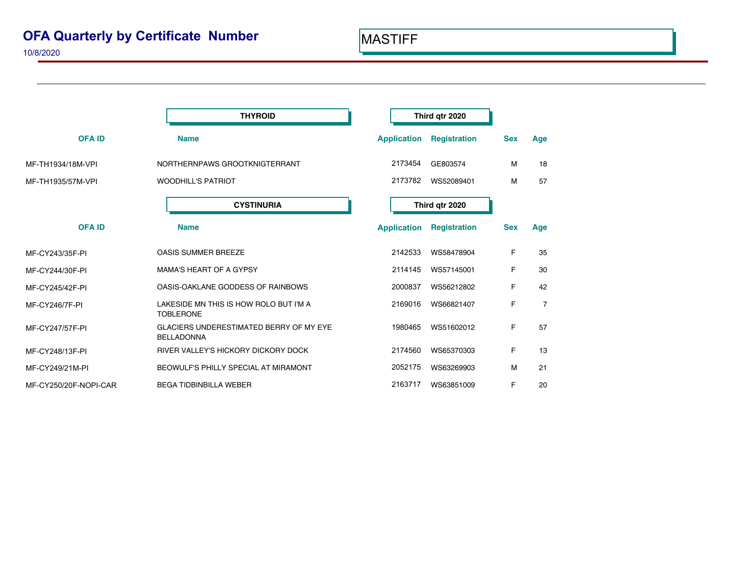|                       | Third qtr 2020                                                      |                    |                     |            |                |  |  |
|-----------------------|---------------------------------------------------------------------|--------------------|---------------------|------------|----------------|--|--|
| <b>OFAID</b>          | <b>Name</b>                                                         | <b>Application</b> | <b>Registration</b> | <b>Sex</b> | Age            |  |  |
| MF-TH1934/18M-VPI     | NORTHERNPAWS GROOTKNIGTERRANT                                       | 2173454            | GE803574            | м          | 18             |  |  |
| MF-TH1935/57M-VPI     | <b>WOODHILL'S PATRIOT</b>                                           | 2173782            | WS52089401          | M          | 57             |  |  |
|                       | <b>CYSTINURIA</b>                                                   |                    | Third qtr 2020      |            |                |  |  |
| <b>OFAID</b>          | <b>Name</b>                                                         | <b>Application</b> | <b>Registration</b> | <b>Sex</b> | Age            |  |  |
| MF-CY243/35F-PI       | <b>OASIS SUMMER BREEZE</b>                                          | 2142533            | WS58478904          | F          | 35             |  |  |
| MF-CY244/30F-PI       | <b>MAMA'S HEART OF A GYPSY</b>                                      | 2114145            | WS57145001          | F          | 30             |  |  |
| MF-CY245/42F-PI       | OASIS-OAKLANE GODDESS OF RAINBOWS                                   | 2000837            | WS56212802          | F          | 42             |  |  |
| MF-CY246/7F-PI        | LAKESIDE MN THIS IS HOW ROLO BUT I'M A<br><b>TOBLERONE</b>          | 2169016            | WS66821407          | F          | $\overline{7}$ |  |  |
| MF-CY247/57F-PI       | <b>GLACIERS UNDERESTIMATED BERRY OF MY EYE</b><br><b>BELLADONNA</b> | 1980465            | WS51602012          | F          | 57             |  |  |
| MF-CY248/13F-PI       | RIVER VALLEY'S HICKORY DICKORY DOCK                                 | 2174560            | WS65370303          | F          | 13             |  |  |
| MF-CY249/21M-PI       | BEOWULF'S PHILLY SPECIAL AT MIRAMONT                                | 2052175            | WS63269903          | м          | 21             |  |  |
| MF-CY250/20F-NOPI-CAR | <b>BEGA TIDBINBILLA WEBER</b>                                       | 2163717            | WS63851009          | F          | 20             |  |  |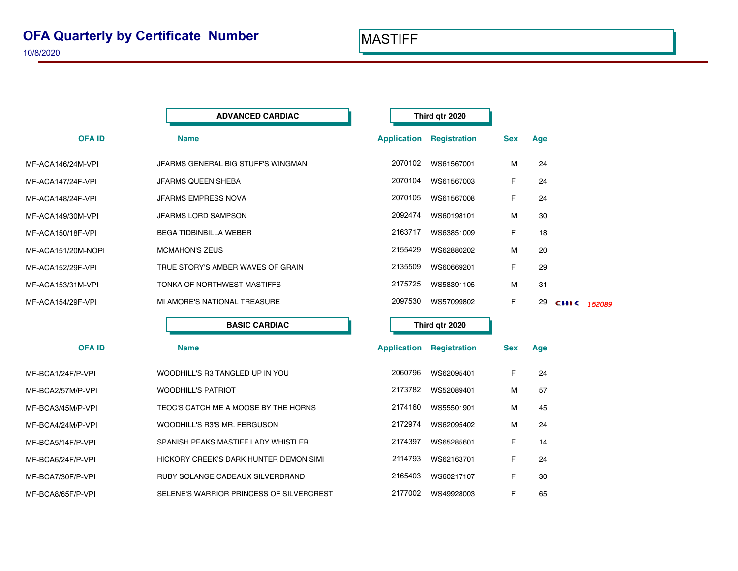|                    | <b>ADVANCED CARDIAC</b>                  |                    | Third qtr 2020      |            |     |             |  |
|--------------------|------------------------------------------|--------------------|---------------------|------------|-----|-------------|--|
| <b>OFAID</b>       | <b>Name</b>                              | <b>Application</b> | <b>Registration</b> | <b>Sex</b> | Age |             |  |
| MF-ACA146/24M-VPI  | JFARMS GENERAL BIG STUFF'S WINGMAN       | 2070102            | WS61567001          | м          | 24  |             |  |
| MF-ACA147/24F-VPI  | JFARMS QUEEN SHEBA                       | 2070104            | WS61567003          | F          | 24  |             |  |
| MF-ACA148/24F-VPI  | JFARMS EMPRESS NOVA                      | 2070105            | WS61567008          | F          | 24  |             |  |
| MF-ACA149/30M-VPI  | JFARMS LORD SAMPSON                      | 2092474            | WS60198101          | M          | 30  |             |  |
| MF-ACA150/18F-VPI  | <b>BEGA TIDBINBILLA WEBER</b>            | 2163717            | WS63851009          | F          | 18  |             |  |
| MF-ACA151/20M-NOPI | <b>MCMAHON'S ZEUS</b>                    | 2155429            | WS62880202          | M          | 20  |             |  |
| MF-ACA152/29F-VPI  | TRUE STORY'S AMBER WAVES OF GRAIN        | 2135509            | WS60669201          | F          | 29  |             |  |
| MF-ACA153/31M-VPI  | TONKA OF NORTHWEST MASTIFFS              | 2175725            | WS58391105          | M          | 31  |             |  |
| MF-ACA154/29F-VPI  | MI AMORE'S NATIONAL TREASURE             | 2097530            | WS57099802          | F          | 29  | CHIC 152089 |  |
|                    | <b>BASIC CARDIAC</b>                     |                    | Third qtr 2020      |            |     |             |  |
| <b>OFAID</b>       | <b>Name</b>                              | <b>Application</b> | <b>Registration</b> | <b>Sex</b> | Age |             |  |
| MF-BCA1/24F/P-VPI  | WOODHILL'S R3 TANGLED UP IN YOU          | 2060796            | WS62095401          | F          | 24  |             |  |
| MF-BCA2/57M/P-VPI  | <b>WOODHILL'S PATRIOT</b>                | 2173782            | WS52089401          | M          | 57  |             |  |
| MF-BCA3/45M/P-VPI  | TEOC'S CATCH ME A MOOSE BY THE HORNS     | 2174160            | WS55501901          | M          | 45  |             |  |
| MF-BCA4/24M/P-VPI  | WOODHILL'S R3'S MR. FERGUSON             | 2172974            | WS62095402          | м          | 24  |             |  |
| MF-BCA5/14F/P-VPI  | SPANISH PEAKS MASTIFF LADY WHISTLER      | 2174397            | WS65285601          | F          | 14  |             |  |
| MF-BCA6/24F/P-VPI  | HICKORY CREEK'S DARK HUNTER DEMON SIMI   | 2114793            | WS62163701          | F          | 24  |             |  |
| MF-BCA7/30F/P-VPI  | RUBY SOLANGE CADEAUX SILVERBRAND         | 2165403            | WS60217107          | F          | 30  |             |  |
| MF-BCA8/65F/P-VPI  | SELENE'S WARRIOR PRINCESS OF SILVERCREST | 2177002            | WS49928003          | F          | 65  |             |  |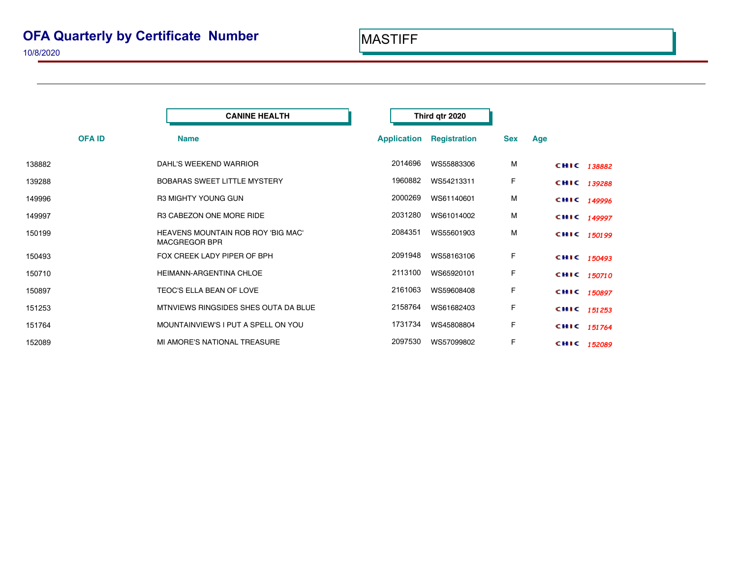|        |                             | <b>CANINE HEALTH</b>                 |                    | Third qtr 2020      |            |     |             |  |
|--------|-----------------------------|--------------------------------------|--------------------|---------------------|------------|-----|-------------|--|
|        | <b>OFAID</b><br><b>Name</b> |                                      | <b>Application</b> | <b>Registration</b> | <b>Sex</b> | Age |             |  |
| 138882 |                             | DAHL'S WEEKEND WARRIOR               | 2014696            | WS55883306          | M          |     | CHIC 138882 |  |
| 139288 |                             | BOBARAS SWEET LITTLE MYSTERY         | 1960882            | WS54213311          | F          |     | CHIC 139288 |  |
| 149996 |                             | R3 MIGHTY YOUNG GUN                  | 2000269            | WS61140601          | M          |     | CHIC 149996 |  |
| 149997 |                             | R3 CABEZON ONE MORE RIDE             | 2031280            | WS61014002          | M          |     | CHIC 149997 |  |
| 150199 | <b>MACGREGOR BPR</b>        | HEAVENS MOUNTAIN ROB ROY 'BIG MAC'   | 2084351            | WS55601903          | M          |     | CHIC 150199 |  |
| 150493 |                             | FOX CREEK LADY PIPER OF BPH          | 2091948            | WS58163106          | F          |     | CHIC 150493 |  |
| 150710 |                             | HEIMANN-ARGENTINA CHLOE              | 2113100            | WS65920101          | F          |     | CHIC 150710 |  |
| 150897 |                             | TEOC'S ELLA BEAN OF LOVE             | 2161063            | WS59608408          | F          |     | CHIC 150897 |  |
| 151253 |                             | MTNVIEWS RINGSIDES SHES OUTA DA BLUE | 2158764            | WS61682403          | F          |     | CHIC 151253 |  |
| 151764 |                             | MOUNTAINVIEW'S I PUT A SPELL ON YOU  | 1731734            | WS45808804          | F          |     | CHIC 151764 |  |
| 152089 |                             | MI AMORE'S NATIONAL TREASURE         | 2097530            | WS57099802          | F          |     | CHIC 152089 |  |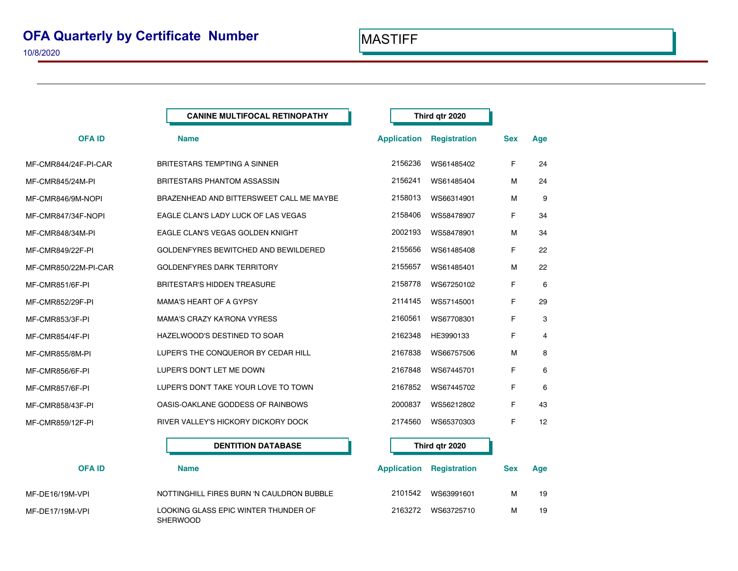| <b>CANINE MULTIFOCAL RETINOPATHY</b>     |  |                     |                                                                                                                                                                                                                                        |     |
|------------------------------------------|--|---------------------|----------------------------------------------------------------------------------------------------------------------------------------------------------------------------------------------------------------------------------------|-----|
| <b>Name</b>                              |  | <b>Registration</b> | <b>Sex</b>                                                                                                                                                                                                                             | Age |
| <b>BRITESTARS TEMPTING A SINNER</b>      |  | WS61485402          | F                                                                                                                                                                                                                                      | 24  |
| <b>BRITESTARS PHANTOM ASSASSIN</b>       |  | WS61485404          | м                                                                                                                                                                                                                                      | 24  |
| BRAZENHEAD AND BITTERSWEET CALL ME MAYBE |  | WS66314901          | м                                                                                                                                                                                                                                      | 9   |
| EAGLE CLAN'S LADY LUCK OF LAS VEGAS      |  | WS58478907          | F                                                                                                                                                                                                                                      | 34  |
| EAGLE CLAN'S VEGAS GOLDEN KNIGHT         |  | WS58478901          | М                                                                                                                                                                                                                                      | 34  |
| GOLDENFYRES BEWITCHED AND BEWILDERED     |  | WS61485408          | F                                                                                                                                                                                                                                      | 22  |
| <b>GOLDENFYRES DARK TERRITORY</b>        |  | WS61485401          | м                                                                                                                                                                                                                                      | 22  |
| <b>BRITESTAR'S HIDDEN TREASURE</b>       |  | WS67250102          | F                                                                                                                                                                                                                                      | 6   |
| <b>MAMA'S HEART OF A GYPSY</b>           |  | WS57145001          | F                                                                                                                                                                                                                                      | 29  |
| <b>MAMA'S CRAZY KA'RONA VYRESS</b>       |  | WS67708301          | F                                                                                                                                                                                                                                      | 3   |
| HAZELWOOD'S DESTINED TO SOAR             |  | HE3990133           | F                                                                                                                                                                                                                                      | 4   |
| LUPER'S THE CONQUEROR BY CEDAR HILL      |  | WS66757506          | м                                                                                                                                                                                                                                      | 8   |
| LUPER'S DON'T LET ME DOWN                |  | WS67445701          | F                                                                                                                                                                                                                                      | 6   |
| LUPER'S DON'T TAKE YOUR LOVE TO TOWN     |  | WS67445702          | F                                                                                                                                                                                                                                      | 6   |
| OASIS-OAKLANE GODDESS OF RAINBOWS        |  | WS56212802          | F                                                                                                                                                                                                                                      | 43  |
| RIVER VALLEY'S HICKORY DICKORY DOCK      |  | WS65370303          | F                                                                                                                                                                                                                                      | 12  |
| <b>DENTITION DATABASE</b>                |  |                     |                                                                                                                                                                                                                                        |     |
|                                          |  |                     | Third qtr 2020<br><b>Application</b><br>2156236<br>2156241<br>2158013<br>2158406<br>2002193<br>2155656<br>2155657<br>2158778<br>2114145<br>2160561<br>2162348<br>2167838<br>2167848<br>2167852<br>2000837<br>2174560<br>Third qtr 2020 |     |

| <b>OFA ID</b>   | <b>Name</b>                                             | <b>Application</b> | <b>Registration</b> | <b>Sex</b> | Age |
|-----------------|---------------------------------------------------------|--------------------|---------------------|------------|-----|
| MF-DE16/19M-VPI | NOTTINGHILL FIRES BURN 'N CAULDRON BUBBLE               | 2101542            | WS63991601          | м          | 19  |
| MF-DE17/19M-VPI | LOOKING GLASS EPIC WINTER THUNDER OF<br><b>SHERWOOD</b> | 2163272            | WS63725710          | м          | 19  |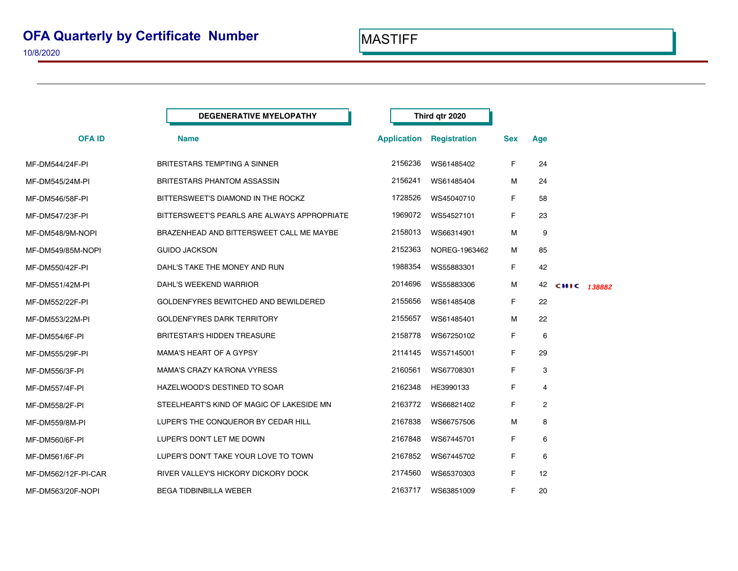|                     | <b>DEGENERATIVE MYELOPATHY</b>              |                    | Third qtr 2020      |            |              |             |  |
|---------------------|---------------------------------------------|--------------------|---------------------|------------|--------------|-------------|--|
| <b>OFA ID</b>       | <b>Name</b>                                 | <b>Application</b> | <b>Registration</b> | <b>Sex</b> | Age          |             |  |
| MF-DM544/24F-PI     | <b>BRITESTARS TEMPTING A SINNER</b>         | 2156236            | WS61485402          | F          | 24           |             |  |
| MF-DM545/24M-PI     | BRITESTARS PHANTOM ASSASSIN                 | 2156241            | WS61485404          | М          | 24           |             |  |
| MF-DM546/58F-PI     | BITTERSWEET'S DIAMOND IN THE ROCKZ          | 1728526            | WS45040710          | F          | 58           |             |  |
| MF-DM547/23F-PI     | BITTERSWEET'S PEARLS ARE ALWAYS APPROPRIATE | 1969072            | WS54527101          | F          | 23           |             |  |
| MF-DM548/9M-NOPI    | BRAZENHEAD AND BITTERSWEET CALL ME MAYBE    | 2158013            | WS66314901          | м          | 9            |             |  |
| MF-DM549/85M-NOPI   | <b>GUIDO JACKSON</b>                        | 2152363            | NOREG-1963462       | м          | 85           |             |  |
| MF-DM550/42F-PI     | DAHL'S TAKE THE MONEY AND RUN               | 1988354            | WS55883301          | F.         | 42           |             |  |
| MF-DM551/42M-PI     | DAHL'S WEEKEND WARRIOR                      | 2014696            | WS55883306          | М          | 42           | CHIC 138882 |  |
| MF-DM552/22F-PI     | GOLDENFYRES BEWITCHED AND BEWILDERED        | 2155656            | WS61485408          | F.         | 22           |             |  |
| MF-DM553/22M-PI     | <b>GOLDENFYRES DARK TERRITORY</b>           | 2155657            | WS61485401          | м          | 22           |             |  |
| MF-DM554/6F-PI      | <b>BRITESTAR'S HIDDEN TREASURE</b>          | 2158778            | WS67250102          | F          | 6            |             |  |
| MF-DM555/29F-PI     | <b>MAMA'S HEART OF A GYPSY</b>              | 2114145            | WS57145001          | F          | 29           |             |  |
| MF-DM556/3F-PI      | <b>MAMA'S CRAZY KA'RONA VYRESS</b>          | 2160561            | WS67708301          | F          | 3            |             |  |
| MF-DM557/4F-PI      | HAZELWOOD'S DESTINED TO SOAR                | 2162348            | HE3990133           | F          | 4            |             |  |
| MF-DM558/2F-PI      | STEELHEART'S KIND OF MAGIC OF LAKESIDE MN   | 2163772            | WS66821402          | F          | $\mathbf{2}$ |             |  |
| MF-DM559/8M-PI      | LUPER'S THE CONQUEROR BY CEDAR HILL         | 2167838            | WS66757506          | М          | 8            |             |  |
| MF-DM560/6F-PI      | LUPER'S DON'T LET ME DOWN                   | 2167848            | WS67445701          | F          | 6            |             |  |
| MF-DM561/6F-PI      | LUPER'S DON'T TAKE YOUR LOVE TO TOWN        | 2167852            | WS67445702          | F          | 6            |             |  |
| MF-DM562/12F-PI-CAR | RIVER VALLEY'S HICKORY DICKORY DOCK         | 2174560            | WS65370303          | F.         | 12           |             |  |
| MF-DM563/20F-NOPI   | <b>BEGA TIDBINBILLA WEBER</b>               | 2163717            | WS63851009          | F          | 20           |             |  |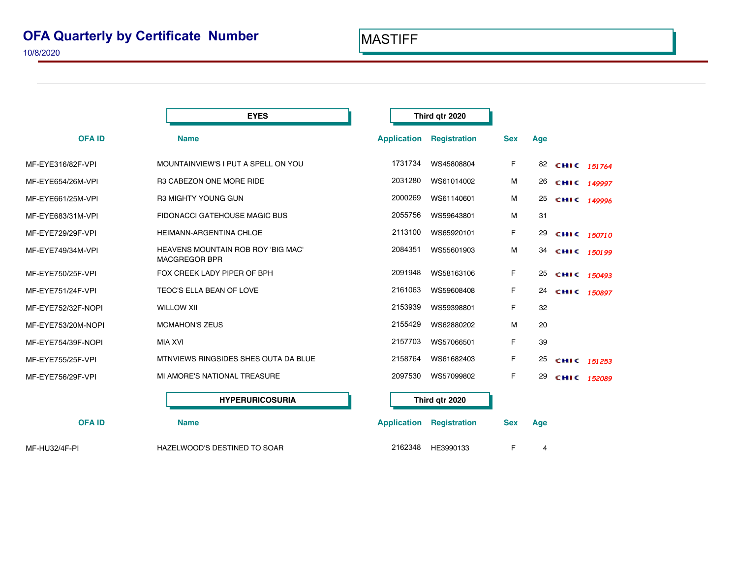|                    | <b>EYES</b>                                                |                    | Third qtr 2020                  |            |     |                |  |
|--------------------|------------------------------------------------------------|--------------------|---------------------------------|------------|-----|----------------|--|
| <b>OFAID</b>       | <b>Name</b>                                                | <b>Application</b> | <b>Registration</b>             | <b>Sex</b> | Age |                |  |
| MF-EYE316/82F-VPI  | MOUNTAINVIEW'S I PUT A SPELL ON YOU                        | 1731734            | WS45808804                      | F          |     | 82 СНІС 151764 |  |
| MF-EYE654/26M-VPI  | R3 CABEZON ONE MORE RIDE                                   | 2031280            | WS61014002                      | M          | 26  | CHIC 149997    |  |
| MF-EYE661/25M-VPI  | <b>R3 MIGHTY YOUNG GUN</b>                                 | 2000269            | WS61140601                      | М          | 25  | CHIC 149996    |  |
| MF-EYE683/31M-VPI  | FIDONACCI GATEHOUSE MAGIC BUS                              | 2055756            | WS59643801                      | M          | 31  |                |  |
| MF-EYE729/29F-VPI  | HEIMANN-ARGENTINA CHLOE                                    | 2113100            | WS65920101                      | F          | 29  | CHIC 150710    |  |
| MF-EYE749/34M-VPI  | HEAVENS MOUNTAIN ROB ROY 'BIG MAC'<br><b>MACGREGOR BPR</b> | 2084351            | WS55601903                      | М          | 34  | CHIC 150199    |  |
| MF-EYE750/25F-VPI  | FOX CREEK LADY PIPER OF BPH                                | 2091948            | WS58163106                      | F          | 25  | CHIC 150493    |  |
| MF-EYE751/24F-VPI  | TEOC'S ELLA BEAN OF LOVE                                   | 2161063            | WS59608408                      | F          | 24  | CHIC 150897    |  |
| MF-EYE752/32F-NOPI | <b>WILLOW XII</b>                                          | 2153939            | WS59398801                      | F          | 32  |                |  |
| MF-EYE753/20M-NOPI | <b>MCMAHON'S ZEUS</b>                                      | 2155429            | WS62880202                      | M          | 20  |                |  |
| MF-EYE754/39F-NOPI | <b>MIA XVI</b>                                             | 2157703            | WS57066501                      | F          | 39  |                |  |
| MF-EYE755/25F-VPI  | MTNVIEWS RINGSIDES SHES OUTA DA BLUE                       | 2158764            | WS61682403                      | F          | 25  | CHIC 151253    |  |
| MF-EYE756/29F-VPI  | MI AMORE'S NATIONAL TREASURE                               | 2097530            | WS57099802                      | F          | 29  | CHIC 152089    |  |
|                    | <b>HYPERURICOSURIA</b>                                     |                    | Third qtr 2020                  |            |     |                |  |
| <b>OFAID</b>       | <b>Name</b>                                                |                    | <b>Application Registration</b> | <b>Sex</b> | Age |                |  |
| MF-HU32/4F-PI      | HAZELWOOD'S DESTINED TO SOAR                               | 2162348            | HE3990133                       | F          | 4   |                |  |